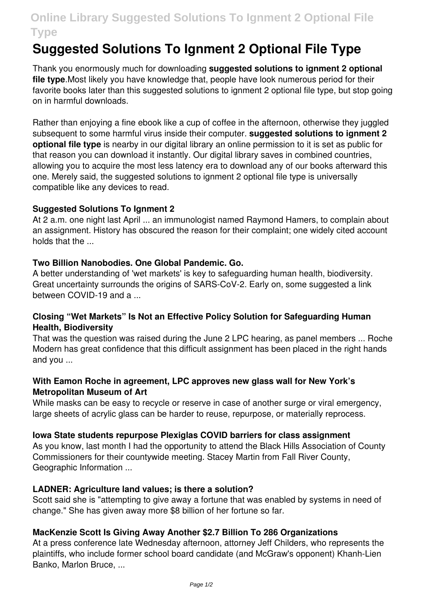# **Online Library Suggested Solutions To Ignment 2 Optional File Type**

# **Suggested Solutions To Ignment 2 Optional File Type**

Thank you enormously much for downloading **suggested solutions to ignment 2 optional file type**.Most likely you have knowledge that, people have look numerous period for their favorite books later than this suggested solutions to ignment 2 optional file type, but stop going on in harmful downloads.

Rather than enjoying a fine ebook like a cup of coffee in the afternoon, otherwise they juggled subsequent to some harmful virus inside their computer. **suggested solutions to ignment 2 optional file type** is nearby in our digital library an online permission to it is set as public for that reason you can download it instantly. Our digital library saves in combined countries, allowing you to acquire the most less latency era to download any of our books afterward this one. Merely said, the suggested solutions to ignment 2 optional file type is universally compatible like any devices to read.

# **Suggested Solutions To Ignment 2**

At 2 a.m. one night last April ... an immunologist named Raymond Hamers, to complain about an assignment. History has obscured the reason for their complaint; one widely cited account holds that the ...

# **Two Billion Nanobodies. One Global Pandemic. Go.**

A better understanding of 'wet markets' is key to safeguarding human health, biodiversity. Great uncertainty surrounds the origins of SARS-CoV-2. Early on, some suggested a link between COVID-19 and a ...

# **Closing "Wet Markets" Is Not an Effective Policy Solution for Safeguarding Human Health, Biodiversity**

That was the question was raised during the June 2 LPC hearing, as panel members ... Roche Modern has great confidence that this difficult assignment has been placed in the right hands and you ...

# **With Eamon Roche in agreement, LPC approves new glass wall for New York's Metropolitan Museum of Art**

While masks can be easy to recycle or reserve in case of another surge or viral emergency, large sheets of acrylic glass can be harder to reuse, repurpose, or materially reprocess.

# **Iowa State students repurpose Plexiglas COVID barriers for class assignment**

As you know, last month I had the opportunity to attend the Black Hills Association of County Commissioners for their countywide meeting. Stacey Martin from Fall River County, Geographic Information ...

# **LADNER: Agriculture land values; is there a solution?**

Scott said she is "attempting to give away a fortune that was enabled by systems in need of change." She has given away more \$8 billion of her fortune so far.

# **MacKenzie Scott Is Giving Away Another \$2.7 Billion To 286 Organizations**

At a press conference late Wednesday afternoon, attorney Jeff Childers, who represents the plaintiffs, who include former school board candidate (and McGraw's opponent) Khanh-Lien Banko, Marlon Bruce, ...